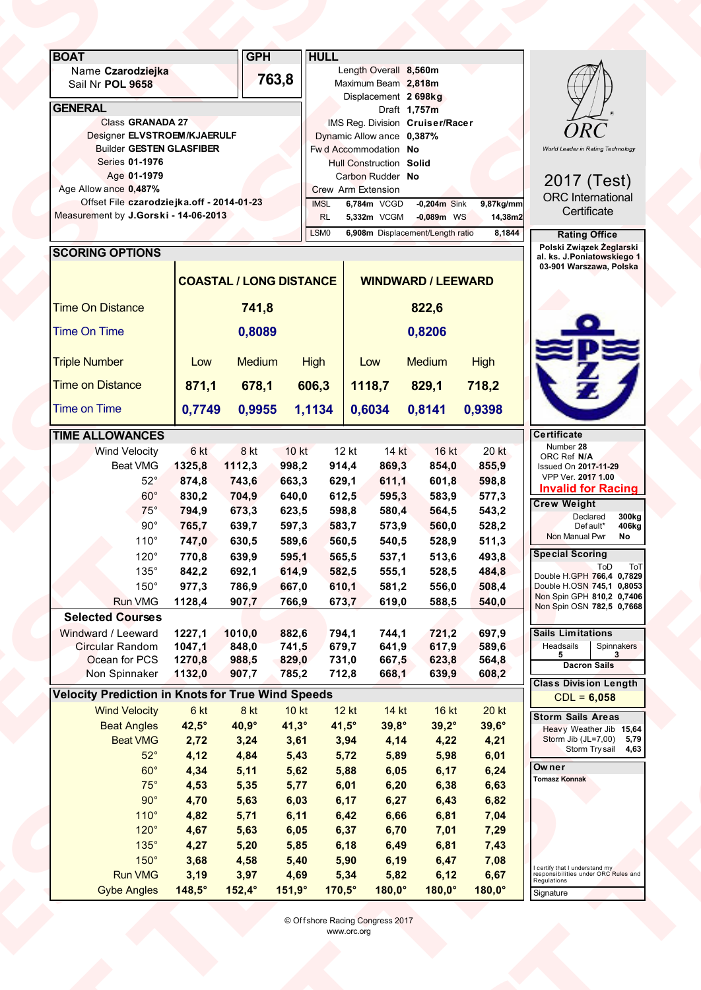| <b>BOAT</b><br><b>GPH</b><br><b>HULL</b><br>Length Overall 8,560m<br>Name Czarodziejka<br>763,8<br>Maximum Beam 2,818m<br>Sail Nr POL 9658<br>Displacement 2 698kg<br><b>GENERAL</b><br>Draft 1,757m<br>Class GRANADA 27<br>IMS Reg. Division Cruiser/Racer<br><b>ORC</b><br>Designer ELVSTROEM/KJAERULF<br>Dynamic Allow ance 0,387%<br><b>Builder GESTEN GLASFIBER</b><br>Fw d Accommodation No<br>World Leader in Rating Technology<br>Series 01-1976<br><b>Hull Construction Solid</b><br>Age 01-1979<br>Carbon Rudder No<br>2017 (Test)<br>Age Allow ance 0,487%<br>Crew Arm Extension<br><b>ORC</b> International<br>Offset File czarodziejka.off - 2014-01-23<br>$-0,204m$ Sink<br>6,784m VCGD<br>9,87kg/mm<br><b>IMSL</b><br>Certificate<br>Measurement by J.Gorski - 14-06-2013<br>5,332m VCGM<br>$-0,089m$ WS<br>14,38m2<br><b>RL</b><br>LSM <sub>0</sub><br>6,908m Displacement/Length ratio<br>8,1844<br><b>Rating Office</b><br>Polski Związek Żeglarski<br><b>SCORING OPTIONS</b><br>al. ks. J.Poniatowskiego 1<br>03-901 Warszawa, Polska<br><b>COASTAL / LONG DISTANCE</b><br><b>WINDWARD / LEEWARD</b><br><b>Time On Distance</b><br>741,8<br>822,6<br>Time On Time<br>0,8089<br>0,8206<br><u> Pesa</u><br><b>Triple Number</b><br>Medium<br><b>Medium</b><br><b>High</b><br><b>High</b><br>Low<br>Low<br>718,2<br><b>Time on Distance</b><br>871,1<br>678,1<br>1118,7<br>829,1<br>606,3<br>$\overline{\textbf{r}}$<br><b>Time on Time</b><br>0,7749<br>0,9955<br>1,1134<br>0,6034<br>0,8141<br>0,9398<br><b>TIME ALLOWANCES</b><br><b>Certificate</b><br>Number 28<br><b>Wind Velocity</b><br>6 kt<br>8 kt<br>10 kt<br>12 kt<br>14 kt<br>16 kt<br>20 kt<br>ORC Ref N/A<br>Beat VMG<br>1325,8<br>1112,3<br>998,2<br>914,4<br>869,3<br>854,0<br>855,9<br><b>Issued On 2017-11-29</b><br>VPP Ver. 2017 1.00<br>$52^\circ$<br>874,8<br>598,8<br>743,6<br>663,3<br>629,1<br>611,1<br>601,8<br><b>Invalid for Racing</b><br>$60^{\circ}$<br>830,2<br>704,9<br>640,0<br>612,5<br>595,3<br>583,9<br>577,3<br><b>Crew Weight</b><br>$75^\circ$<br>794,9<br>673,3<br>598,8<br>623,5<br>580,4<br>564,5<br>543,2<br>Declared<br>300kg<br>$90^\circ$<br>765,7<br>639,7<br>597,3<br>583,7<br>573,9<br>560,0<br>528,2<br>Default*<br>406kg<br>Non Manual Pwr<br>No<br>110°<br>747,0<br>630,5<br>589,6<br>560,5<br>540,5<br>528,9<br>511,3<br><b>Special Scoring</b><br>$120^\circ$<br>493,8<br>770,8<br>639,9<br>595,1<br>565,5<br>537,1<br>513,6<br>ToD ToT<br>Double H.GPH 766,4 0,7829<br>$135^\circ$<br>614,9<br>842,2<br>692,1<br>582,5<br>555,1<br>528,5<br>484,8<br>$150^\circ$<br>Double H.OSN 745,1 0,8053<br>977,3<br>786,9<br>667,0<br>610,1<br>581,2<br>556,0<br>508,4<br>Non Spin GPH 810,2 0,7406<br><b>Run VMG</b><br>1128,4<br>907,7<br>766,9<br>673,7<br>619,0<br>588,5<br>540,0<br>Non Spin OSN 782,5 0,7668<br><b>Selected Courses</b><br>1227,1<br>Windward / Leeward<br>1010,0<br>882,6<br>794,1<br>744,1<br>721,2<br>697,9<br><b>Sails Limitations</b><br>Circular Random<br>1047,1<br>741,5<br>641,9<br>617,9<br>848,0<br>679,7<br>589,6<br>Headsails<br>Spinnakers<br>3<br>5<br>Ocean for PCS<br>1270,8<br>988,5<br>829,0<br>731,0<br>667,5<br>623,8<br>564,8<br><b>Dacron Sails</b><br>Non Spinnaker<br>1132,0<br>907,7<br>785,2<br>712,8<br>639,9<br>608,2<br>668,1<br><b>Class Division Length</b><br><b>Velocity Prediction in Knots for True Wind Speeds</b><br>$CDL = 6,058$<br><b>Wind Velocity</b><br>6 kt<br>8 kt<br>14 kt<br>10 kt<br>$12$ kt<br>16 kt<br><b>20 kt</b><br><b>Storm Sails Areas</b><br><b>Beat Angles</b><br>$42,5^\circ$<br>40,9°<br>$41,3^\circ$<br>$41,5^\circ$<br>$39,8^\circ$<br>$39,2^\circ$<br>$39,6^\circ$<br>Heavy Weather Jib 15,64<br>Storm Jib (JL=7,00) 5,79<br>Storm Try sail 4,63<br><b>Beat VMG</b><br>2,72<br>4,14<br>4,22<br>4,21<br>3,24<br>3,61<br>3,94<br>$52^\circ$<br>6,01<br>4,12<br>4,84<br>5,43<br>5,72<br>5,89<br>5,98<br>Owner<br>$60^{\circ}$<br>6,24<br>4,34<br>5,11<br>5,62<br>6,05<br>6,17<br>5,88<br><b>Tomasz Konnak</b><br>$75^\circ$<br>4,53<br>5,35<br>5,77<br>6,01<br>6,20<br>6,38<br>6,63<br>6,82<br>$90^\circ$<br>6,17<br>6,27<br>6,43<br>4,70<br>5,63<br>6,03<br>110°<br>4,82<br>5,71<br>6,11<br>6,42<br>6,66<br>6,81<br>7,04<br>$120^\circ$<br>4,67<br>7,29<br>5,63<br>6,05<br>6,37<br>6,70<br>7,01<br>$135^\circ$<br>7,43<br>4,27<br>5,20<br>5,85<br>6,18<br>6,81<br>6,49<br>$150^\circ$<br>7,08<br>3,68<br>6,47<br>4,58<br>5,40<br>5,90<br>6,19<br>I certify that I understand my<br>responsibilities under ORC Rules and<br><b>Run VMG</b><br>6,67<br>3,19<br>3,97<br>4,69<br>5,34<br>5,82<br>6,12<br>Regulations<br>$148,5^\circ$<br>$170,5^\circ$<br>$180,0^\circ$<br>$180,0^\circ$<br><b>Gybe Angles</b><br>$152,4^\circ$<br>$151,9^\circ$<br>$180,0^\circ$<br>Signature<br>© Offshore Racing Congress 2017<br>www.orc.org |  |  |  |  |  |
|--------------------------------------------------------------------------------------------------------------------------------------------------------------------------------------------------------------------------------------------------------------------------------------------------------------------------------------------------------------------------------------------------------------------------------------------------------------------------------------------------------------------------------------------------------------------------------------------------------------------------------------------------------------------------------------------------------------------------------------------------------------------------------------------------------------------------------------------------------------------------------------------------------------------------------------------------------------------------------------------------------------------------------------------------------------------------------------------------------------------------------------------------------------------------------------------------------------------------------------------------------------------------------------------------------------------------------------------------------------------------------------------------------------------------------------------------------------------------------------------------------------------------------------------------------------------------------------------------------------------------------------------------------------------------------------------------------------------------------------------------------------------------------------------------------------------------------------------------------------------------------------------------------------------------------------------------------------------------------------------------------------------------------------------------------------------------------------------------------------------------------------------------------------------------------------------------------------------------------------------------------------------------------------------------------------------------------------------------------------------------------------------------------------------------------------------------------------------------------------------------------------------------------------------------------------------------------------------------------------------------------------------------------------------------------------------------------------------------------------------------------------------------------------------------------------------------------------------------------------------------------------------------------------------------------------------------------------------------------------------------------------------------------------------------------------------------------------------------------------------------------------------------------------------------------------------------------------------------------------------------------------------------------------------------------------------------------------------------------------------------------------------------------------------------------------------------------------------------------------------------------------------------------------------------------------------------------------------------------------------------------------------------------------------------------------------------------------------------------------------------------------------------------------------------------------------------------------------------------------------------------------------------------------------------------------------------------------------------------------------------------------------------------------------------------------------------------------------------------------------------------------------------------------------------------------------------------------------------------------------------------------------------------------------------------------------------------------------------------------------------------------------------------------------------------------------------------------------------------------------------------------------------------------------------------------------------------------------------------------------------------------------------------------------------------------------------------------------------------------------------------------------------------------------------------------------------------|--|--|--|--|--|
|                                                                                                                                                                                                                                                                                                                                                                                                                                                                                                                                                                                                                                                                                                                                                                                                                                                                                                                                                                                                                                                                                                                                                                                                                                                                                                                                                                                                                                                                                                                                                                                                                                                                                                                                                                                                                                                                                                                                                                                                                                                                                                                                                                                                                                                                                                                                                                                                                                                                                                                                                                                                                                                                                                                                                                                                                                                                                                                                                                                                                                                                                                                                                                                                                                                                                                                                                                                                                                                                                                                                                                                                                                                                                                                                                                                                                                                                                                                                                                                                                                                                                                                                                                                                                                                                                                                                                                                                                                                                                                                                                                                                                                                                                                                                                                                                                                |  |  |  |  |  |
|                                                                                                                                                                                                                                                                                                                                                                                                                                                                                                                                                                                                                                                                                                                                                                                                                                                                                                                                                                                                                                                                                                                                                                                                                                                                                                                                                                                                                                                                                                                                                                                                                                                                                                                                                                                                                                                                                                                                                                                                                                                                                                                                                                                                                                                                                                                                                                                                                                                                                                                                                                                                                                                                                                                                                                                                                                                                                                                                                                                                                                                                                                                                                                                                                                                                                                                                                                                                                                                                                                                                                                                                                                                                                                                                                                                                                                                                                                                                                                                                                                                                                                                                                                                                                                                                                                                                                                                                                                                                                                                                                                                                                                                                                                                                                                                                                                |  |  |  |  |  |
|                                                                                                                                                                                                                                                                                                                                                                                                                                                                                                                                                                                                                                                                                                                                                                                                                                                                                                                                                                                                                                                                                                                                                                                                                                                                                                                                                                                                                                                                                                                                                                                                                                                                                                                                                                                                                                                                                                                                                                                                                                                                                                                                                                                                                                                                                                                                                                                                                                                                                                                                                                                                                                                                                                                                                                                                                                                                                                                                                                                                                                                                                                                                                                                                                                                                                                                                                                                                                                                                                                                                                                                                                                                                                                                                                                                                                                                                                                                                                                                                                                                                                                                                                                                                                                                                                                                                                                                                                                                                                                                                                                                                                                                                                                                                                                                                                                |  |  |  |  |  |
|                                                                                                                                                                                                                                                                                                                                                                                                                                                                                                                                                                                                                                                                                                                                                                                                                                                                                                                                                                                                                                                                                                                                                                                                                                                                                                                                                                                                                                                                                                                                                                                                                                                                                                                                                                                                                                                                                                                                                                                                                                                                                                                                                                                                                                                                                                                                                                                                                                                                                                                                                                                                                                                                                                                                                                                                                                                                                                                                                                                                                                                                                                                                                                                                                                                                                                                                                                                                                                                                                                                                                                                                                                                                                                                                                                                                                                                                                                                                                                                                                                                                                                                                                                                                                                                                                                                                                                                                                                                                                                                                                                                                                                                                                                                                                                                                                                |  |  |  |  |  |
|                                                                                                                                                                                                                                                                                                                                                                                                                                                                                                                                                                                                                                                                                                                                                                                                                                                                                                                                                                                                                                                                                                                                                                                                                                                                                                                                                                                                                                                                                                                                                                                                                                                                                                                                                                                                                                                                                                                                                                                                                                                                                                                                                                                                                                                                                                                                                                                                                                                                                                                                                                                                                                                                                                                                                                                                                                                                                                                                                                                                                                                                                                                                                                                                                                                                                                                                                                                                                                                                                                                                                                                                                                                                                                                                                                                                                                                                                                                                                                                                                                                                                                                                                                                                                                                                                                                                                                                                                                                                                                                                                                                                                                                                                                                                                                                                                                |  |  |  |  |  |
|                                                                                                                                                                                                                                                                                                                                                                                                                                                                                                                                                                                                                                                                                                                                                                                                                                                                                                                                                                                                                                                                                                                                                                                                                                                                                                                                                                                                                                                                                                                                                                                                                                                                                                                                                                                                                                                                                                                                                                                                                                                                                                                                                                                                                                                                                                                                                                                                                                                                                                                                                                                                                                                                                                                                                                                                                                                                                                                                                                                                                                                                                                                                                                                                                                                                                                                                                                                                                                                                                                                                                                                                                                                                                                                                                                                                                                                                                                                                                                                                                                                                                                                                                                                                                                                                                                                                                                                                                                                                                                                                                                                                                                                                                                                                                                                                                                |  |  |  |  |  |
|                                                                                                                                                                                                                                                                                                                                                                                                                                                                                                                                                                                                                                                                                                                                                                                                                                                                                                                                                                                                                                                                                                                                                                                                                                                                                                                                                                                                                                                                                                                                                                                                                                                                                                                                                                                                                                                                                                                                                                                                                                                                                                                                                                                                                                                                                                                                                                                                                                                                                                                                                                                                                                                                                                                                                                                                                                                                                                                                                                                                                                                                                                                                                                                                                                                                                                                                                                                                                                                                                                                                                                                                                                                                                                                                                                                                                                                                                                                                                                                                                                                                                                                                                                                                                                                                                                                                                                                                                                                                                                                                                                                                                                                                                                                                                                                                                                |  |  |  |  |  |
|                                                                                                                                                                                                                                                                                                                                                                                                                                                                                                                                                                                                                                                                                                                                                                                                                                                                                                                                                                                                                                                                                                                                                                                                                                                                                                                                                                                                                                                                                                                                                                                                                                                                                                                                                                                                                                                                                                                                                                                                                                                                                                                                                                                                                                                                                                                                                                                                                                                                                                                                                                                                                                                                                                                                                                                                                                                                                                                                                                                                                                                                                                                                                                                                                                                                                                                                                                                                                                                                                                                                                                                                                                                                                                                                                                                                                                                                                                                                                                                                                                                                                                                                                                                                                                                                                                                                                                                                                                                                                                                                                                                                                                                                                                                                                                                                                                |  |  |  |  |  |
|                                                                                                                                                                                                                                                                                                                                                                                                                                                                                                                                                                                                                                                                                                                                                                                                                                                                                                                                                                                                                                                                                                                                                                                                                                                                                                                                                                                                                                                                                                                                                                                                                                                                                                                                                                                                                                                                                                                                                                                                                                                                                                                                                                                                                                                                                                                                                                                                                                                                                                                                                                                                                                                                                                                                                                                                                                                                                                                                                                                                                                                                                                                                                                                                                                                                                                                                                                                                                                                                                                                                                                                                                                                                                                                                                                                                                                                                                                                                                                                                                                                                                                                                                                                                                                                                                                                                                                                                                                                                                                                                                                                                                                                                                                                                                                                                                                |  |  |  |  |  |
|                                                                                                                                                                                                                                                                                                                                                                                                                                                                                                                                                                                                                                                                                                                                                                                                                                                                                                                                                                                                                                                                                                                                                                                                                                                                                                                                                                                                                                                                                                                                                                                                                                                                                                                                                                                                                                                                                                                                                                                                                                                                                                                                                                                                                                                                                                                                                                                                                                                                                                                                                                                                                                                                                                                                                                                                                                                                                                                                                                                                                                                                                                                                                                                                                                                                                                                                                                                                                                                                                                                                                                                                                                                                                                                                                                                                                                                                                                                                                                                                                                                                                                                                                                                                                                                                                                                                                                                                                                                                                                                                                                                                                                                                                                                                                                                                                                |  |  |  |  |  |
|                                                                                                                                                                                                                                                                                                                                                                                                                                                                                                                                                                                                                                                                                                                                                                                                                                                                                                                                                                                                                                                                                                                                                                                                                                                                                                                                                                                                                                                                                                                                                                                                                                                                                                                                                                                                                                                                                                                                                                                                                                                                                                                                                                                                                                                                                                                                                                                                                                                                                                                                                                                                                                                                                                                                                                                                                                                                                                                                                                                                                                                                                                                                                                                                                                                                                                                                                                                                                                                                                                                                                                                                                                                                                                                                                                                                                                                                                                                                                                                                                                                                                                                                                                                                                                                                                                                                                                                                                                                                                                                                                                                                                                                                                                                                                                                                                                |  |  |  |  |  |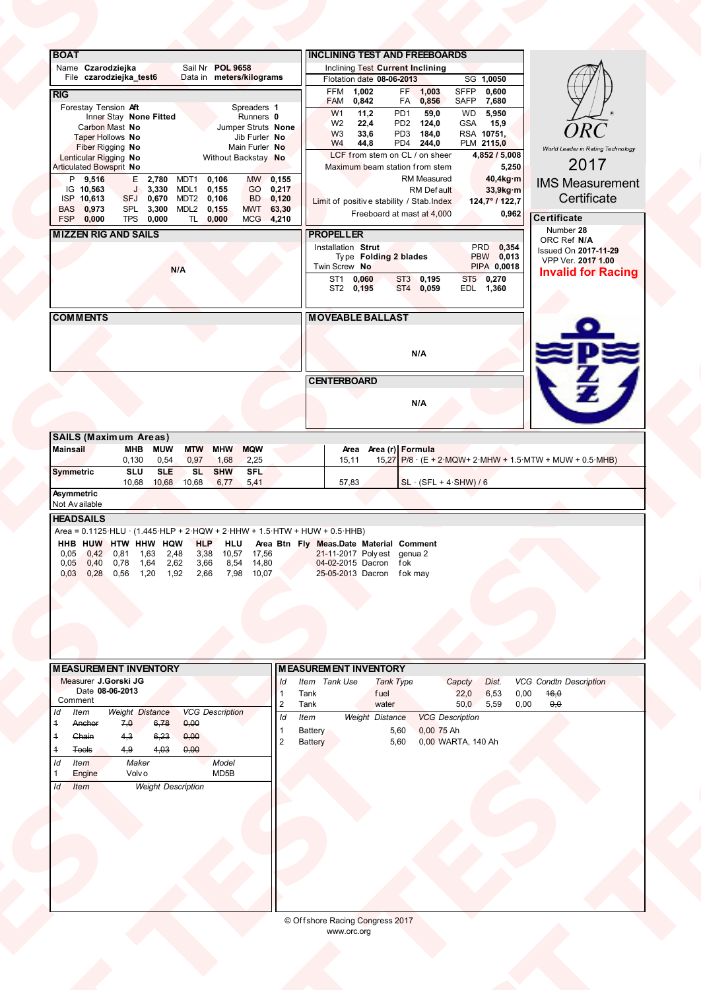| 2017<br>Articulated Bowsprit No<br>Maximum beam station from stem<br>5,250<br>RM Measured<br>40,4kg·m<br>MW 0,155<br>P 9,516<br>E 2,780 MDT1<br>0,106<br><b>IMS Measurement</b><br>J 3,330 MDL1<br>GO 0,217<br>IG 10,563<br>0,155<br>33,9kg·m<br><b>RM</b> Default<br>Certificate<br>SFJ 0,670 MDT2 0,106<br>BD 0,120<br>ISP 10,613<br>Limit of positive stability / Stab.Index<br>124,7°/122,7<br>BAS 0,973<br>SPL 3,300<br>MWT 63,30<br>MDL2<br>0,155<br>Freeboard at mast at 4,000<br>0,962<br>Certificate<br>FSP 0,000<br>TPS 0,000<br>TL 0,000<br>MCG 4,210<br>Number 28<br><b>MIZZEN RIG AND SAILS</b><br><b>PROPELLER</b><br>ORC Ref N/A<br>PRD 0,354<br>Installation Strut<br>Issued On 2017-11-29<br>PBW 0,013<br>Type Folding 2 blades<br>VPP Ver. 2017 1.00<br>Twin Screw No<br>PIPA 0,0018<br>N/A<br><b>Invalid for Racing</b><br>ST1 0,060<br>ST2 0,195<br>ST3 0,195<br>ST4 0,059<br>ST5 0,270<br>EDL 1,360<br><b>COMMENTS</b><br><b>MOVEABLE BALLAST</b><br>N/A |                 | <b>ORC</b><br>World Leader in Rating Technology | SG 1,0050<br><b>SFFP</b><br>FF 1,003<br>0,600<br>SAFP<br>FA 0,856<br>7,680<br>59,0<br>WD<br>5,950<br>PD2 124,0<br>GSA<br>15,9<br>PD3 184,0<br>RSA 10751,<br>PD4 244,0<br>PLM 2115,0<br>4,852 / 5,008 | <b>INCLINING TEST AND FREEBOARDS</b><br><b>Inclining Test Current Inclining</b><br>Flotation date 08-06-2013<br>1,002<br>FFM<br>0,842<br><b>FAM</b><br>PD <sub>1</sub><br>W <sub>1</sub><br>11,2<br>W <sub>2</sub><br>22,4<br>W <sub>3</sub><br>33,6<br>W <sub>4</sub><br>44,8<br>LCF from stem on CL / on sheer | Data in meters/kilograms<br>Spreaders 1<br>Runners 0<br>Jumper Struts None<br>Jib Furler No<br>Main Furler No<br>Without Backstay No | Sail Nr POL 9658<br>Inner Stay None Fitted | <b>BOAT</b><br>Name Czarodziejka<br>File czarodziejka_test6<br><b>RIG</b><br>Forestay Tension Aft<br>Carbon Mast No<br>Taper Hollows No<br>Fiber Rigging No<br>Lenticular Rigging No |
|-------------------------------------------------------------------------------------------------------------------------------------------------------------------------------------------------------------------------------------------------------------------------------------------------------------------------------------------------------------------------------------------------------------------------------------------------------------------------------------------------------------------------------------------------------------------------------------------------------------------------------------------------------------------------------------------------------------------------------------------------------------------------------------------------------------------------------------------------------------------------------------------------------------------------------------------------------------------------------|-----------------|-------------------------------------------------|------------------------------------------------------------------------------------------------------------------------------------------------------------------------------------------------------|------------------------------------------------------------------------------------------------------------------------------------------------------------------------------------------------------------------------------------------------------------------------------------------------------------------|--------------------------------------------------------------------------------------------------------------------------------------|--------------------------------------------|--------------------------------------------------------------------------------------------------------------------------------------------------------------------------------------|
|                                                                                                                                                                                                                                                                                                                                                                                                                                                                                                                                                                                                                                                                                                                                                                                                                                                                                                                                                                               |                 |                                                 |                                                                                                                                                                                                      |                                                                                                                                                                                                                                                                                                                  |                                                                                                                                      |                                            |                                                                                                                                                                                      |
| <b>CENTERBOARD</b><br>N/A<br><b>SAILS (Maximum Areas)</b><br>Mainsail<br>MHB MUW MTW MHW MQW<br>Area Area (r) Formula<br>$15,27$ P/8 $\cdot$ (E + 2 MQW+ 2 MHW + 1.5 MTW + MUW + 0.5 MHB)<br>$0,130$ $0,54$<br>0,97<br>1,68<br>2,25<br>15,11                                                                                                                                                                                                                                                                                                                                                                                                                                                                                                                                                                                                                                                                                                                                  | <b>PEW</b><br>Z |                                                 |                                                                                                                                                                                                      |                                                                                                                                                                                                                                                                                                                  |                                                                                                                                      |                                            |                                                                                                                                                                                      |
| SLU SLE<br>SL<br><b>SHW</b><br>SFL<br><b>Symmetric</b><br>10,68 10,68 10,68 6,77 5,41<br>57,83<br>$SL \cdot (SFL + 4-SHW) / 6$<br>Asymmetric<br>Not Available<br><b>HEADSAILS</b><br>Area = $0.1125$ ·HLU · $(1.445$ ·HLP + $2$ ·HQW + $2$ ·HHW + $1.5$ ·HTW + HUW + $0.5$ ·HHB)<br><b>HHB HUW HTW HHW HQW HLP HLU Area Btn Fly Meas.Date Material Comment</b><br>0,05 0,42 0,81 1,63 2,48 3,38 10,57 17,56 21-11-2017 Polyest genua 2<br>0,05 0,40 0,78 1,64 2,62 3,66 8,54 14,80 04-02-2015 Dacron fok<br>0,03 0,28 0,56 1,20                                                                                                                                                                                                                                                                                                                                                                                                                                               |                 |                                                 |                                                                                                                                                                                                      |                                                                                                                                                                                                                                                                                                                  |                                                                                                                                      |                                            |                                                                                                                                                                                      |